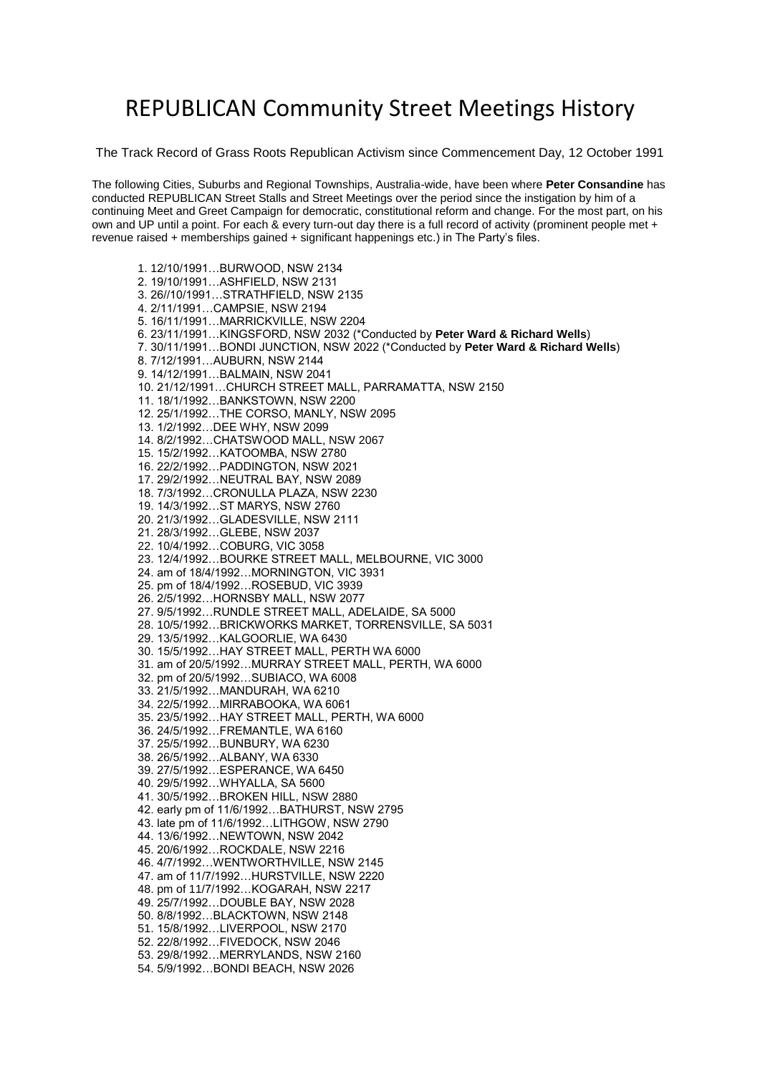## REPUBLICAN Community Street Meetings History

The Track Record of Grass Roots Republican Activism since Commencement Day, 12 October 1991

The following Cities, Suburbs and Regional Townships, Australia-wide, have been where **Peter Consandine** has conducted REPUBLICAN Street Stalls and Street Meetings over the period since the instigation by him of a continuing Meet and Greet Campaign for democratic, constitutional reform and change. For the most part, on his own and UP until a point. For each & every turn-out day there is a full record of activity (prominent people met + revenue raised + memberships gained + significant happenings etc.) in The Party's files.

1. 12/10/1991…BURWOOD, NSW 2134 2. 19/10/1991…ASHFIELD, NSW 2131 3. 26//10/1991…STRATHFIELD, NSW 2135 4. 2/11/1991…CAMPSIE, NSW 2194 5. 16/11/1991…MARRICKVILLE, NSW 2204 6. 23/11/1991…KINGSFORD, NSW 2032 (\*Conducted by **Peter Ward & Richard Wells**) 7. 30/11/1991…BONDI JUNCTION, NSW 2022 (\*Conducted by **Peter Ward & Richard Wells**) 8. 7/12/1991…AUBURN, NSW 2144 9. 14/12/1991…BALMAIN, NSW 2041 10. 21/12/1991…CHURCH STREET MALL, PARRAMATTA, NSW 2150 11. 18/1/1992…BANKSTOWN, NSW 2200 12. 25/1/1992…THE CORSO, MANLY, NSW 2095 13. 1/2/1992…DEE WHY, NSW 2099 14. 8/2/1992…CHATSWOOD MALL, NSW 2067 15. 15/2/1992…KATOOMBA, NSW 2780 16. 22/2/1992…PADDINGTON, NSW 2021 17. 29/2/1992…NEUTRAL BAY, NSW 2089 18. 7/3/1992…CRONULLA PLAZA, NSW 2230 19. 14/3/1992…ST MARYS, NSW 2760 20. 21/3/1992…GLADESVILLE, NSW 2111 21. 28/3/1992…GLEBE, NSW 2037 22. 10/4/1992…COBURG, VIC 3058 23. 12/4/1992…BOURKE STREET MALL, MELBOURNE, VIC 3000 24. am of 18/4/1992…MORNINGTON, VIC 3931 25. pm of 18/4/1992…ROSEBUD, VIC 3939 26. 2/5/1992…HORNSBY MALL, NSW 2077 27. 9/5/1992…RUNDLE STREET MALL, ADELAIDE, SA 5000 28. 10/5/1992…BRICKWORKS MARKET, TORRENSVILLE, SA 5031 29. 13/5/1992…KALGOORLIE, WA 6430 30. 15/5/1992…HAY STREET MALL, PERTH WA 6000 31. am of 20/5/1992…MURRAY STREET MALL, PERTH, WA 6000 32. pm of 20/5/1992…SUBIACO, WA 6008 33. 21/5/1992…MANDURAH, WA 6210 34. 22/5/1992…MIRRABOOKA, WA 6061 35. 23/5/1992…HAY STREET MALL, PERTH, WA 6000 36. 24/5/1992…FREMANTLE, WA 6160 37. 25/5/1992…BUNBURY, WA 6230 38. 26/5/1992…ALBANY, WA 6330 39. 27/5/1992…ESPERANCE, WA 6450 40. 29/5/1992…WHYALLA, SA 5600 41. 30/5/1992…BROKEN HILL, NSW 2880 42. early pm of 11/6/1992…BATHURST, NSW 2795 43. late pm of 11/6/1992…LITHGOW, NSW 2790 44. 13/6/1992…NEWTOWN, NSW 2042 45. 20/6/1992…ROCKDALE, NSW 2216 46. 4/7/1992…WENTWORTHVILLE, NSW 2145 47. am of 11/7/1992…HURSTVILLE, NSW 2220 48. pm of 11/7/1992…KOGARAH, NSW 2217 49. 25/7/1992…DOUBLE BAY, NSW 2028 50. 8/8/1992…BLACKTOWN, NSW 2148 51. 15/8/1992…LIVERPOOL, NSW 2170 52. 22/8/1992…FIVEDOCK, NSW 2046 53. 29/8/1992…MERRYLANDS, NSW 2160 54. 5/9/1992…BONDI BEACH, NSW 2026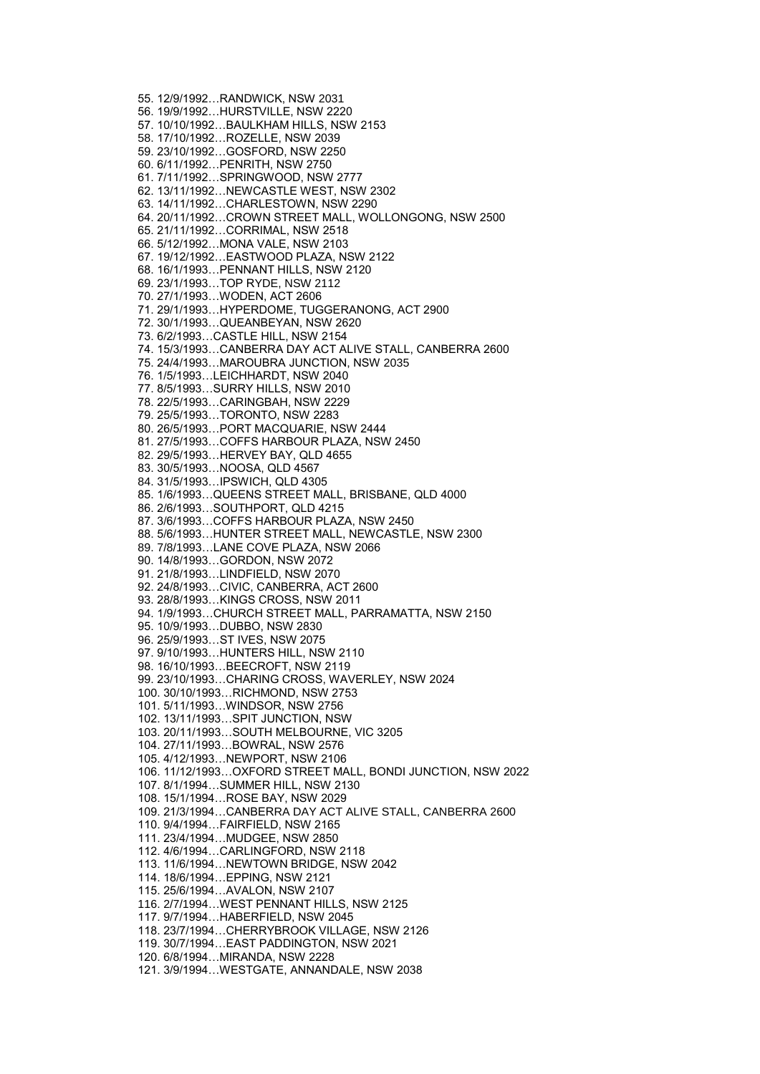55. 12/9/1992…RANDWICK, NSW 2031 56. 19/9/1992…HURSTVILLE, NSW 2220 57. 10/10/1992…BAULKHAM HILLS, NSW 2153 58. 17/10/1992…ROZELLE, NSW 2039 59. 23/10/1992…GOSFORD, NSW 2250 60. 6/11/1992…PENRITH, NSW 2750 61. 7/11/1992…SPRINGWOOD, NSW 2777 62. 13/11/1992…NEWCASTLE WEST, NSW 2302 63. 14/11/1992…CHARLESTOWN, NSW 2290 64. 20/11/1992…CROWN STREET MALL, WOLLONGONG, NSW 2500 65. 21/11/1992…CORRIMAL, NSW 2518 66. 5/12/1992…MONA VALE, NSW 2103 67. 19/12/1992…EASTWOOD PLAZA, NSW 2122 68. 16/1/1993…PENNANT HILLS, NSW 2120 69. 23/1/1993…TOP RYDE, NSW 2112 70. 27/1/1993…WODEN, ACT 2606 71. 29/1/1993…HYPERDOME, TUGGERANONG, ACT 2900 72. 30/1/1993…QUEANBEYAN, NSW 2620 73. 6/2/1993…CASTLE HILL, NSW 2154 74. 15/3/1993…CANBERRA DAY ACT ALIVE STALL, CANBERRA 2600 75. 24/4/1993…MAROUBRA JUNCTION, NSW 2035 76. 1/5/1993…LEICHHARDT, NSW 2040 77. 8/5/1993…SURRY HILLS, NSW 2010 78. 22/5/1993…CARINGBAH, NSW 2229 79. 25/5/1993…TORONTO, NSW 2283 80. 26/5/1993…PORT MACQUARIE, NSW 2444 81. 27/5/1993…COFFS HARBOUR PLAZA, NSW 2450 82. 29/5/1993…HERVEY BAY, QLD 4655 83. 30/5/1993…NOOSA, QLD 4567 84. 31/5/1993…IPSWICH, QLD 4305 85. 1/6/1993…QUEENS STREET MALL, BRISBANE, QLD 4000 86. 2/6/1993…SOUTHPORT, QLD 4215 87. 3/6/1993…COFFS HARBOUR PLAZA, NSW 2450 88. 5/6/1993…HUNTER STREET MALL, NEWCASTLE, NSW 2300 89. 7/8/1993…LANE COVE PLAZA, NSW 2066 90. 14/8/1993…GORDON, NSW 2072 91. 21/8/1993…LINDFIELD, NSW 2070 92. 24/8/1993…CIVIC, CANBERRA, ACT 2600 93. 28/8/1993…KINGS CROSS, NSW 2011 94. 1/9/1993…CHURCH STREET MALL, PARRAMATTA, NSW 2150 95. 10/9/1993…DUBBO, NSW 2830 96. 25/9/1993…ST IVES, NSW 2075 97. 9/10/1993…HUNTERS HILL, NSW 2110 98. 16/10/1993…BEECROFT, NSW 2119 99. 23/10/1993…CHARING CROSS, WAVERLEY, NSW 2024 100. 30/10/1993…RICHMOND, NSW 2753 101. 5/11/1993…WINDSOR, NSW 2756 102. 13/11/1993…SPIT JUNCTION, NSW 103. 20/11/1993…SOUTH MELBOURNE, VIC 3205 104. 27/11/1993…BOWRAL, NSW 2576 105. 4/12/1993…NEWPORT, NSW 2106 106. 11/12/1993…OXFORD STREET MALL, BONDI JUNCTION, NSW 2022 107. 8/1/1994…SUMMER HILL, NSW 2130 108. 15/1/1994…ROSE BAY, NSW 2029 109. 21/3/1994…CANBERRA DAY ACT ALIVE STALL, CANBERRA 2600 110. 9/4/1994…FAIRFIELD, NSW 2165 111. 23/4/1994…MUDGEE, NSW 2850 112. 4/6/1994…CARLINGFORD, NSW 2118 113. 11/6/1994…NEWTOWN BRIDGE, NSW 2042 114. 18/6/1994…EPPING, NSW 2121 115. 25/6/1994…AVALON, NSW 2107 116. 2/7/1994…WEST PENNANT HILLS, NSW 2125 117. 9/7/1994…HABERFIELD, NSW 2045 118. 23/7/1994…CHERRYBROOK VILLAGE, NSW 2126 119. 30/7/1994…EAST PADDINGTON, NSW 2021 120. 6/8/1994…MIRANDA, NSW 2228 121. 3/9/1994…WESTGATE, ANNANDALE, NSW 2038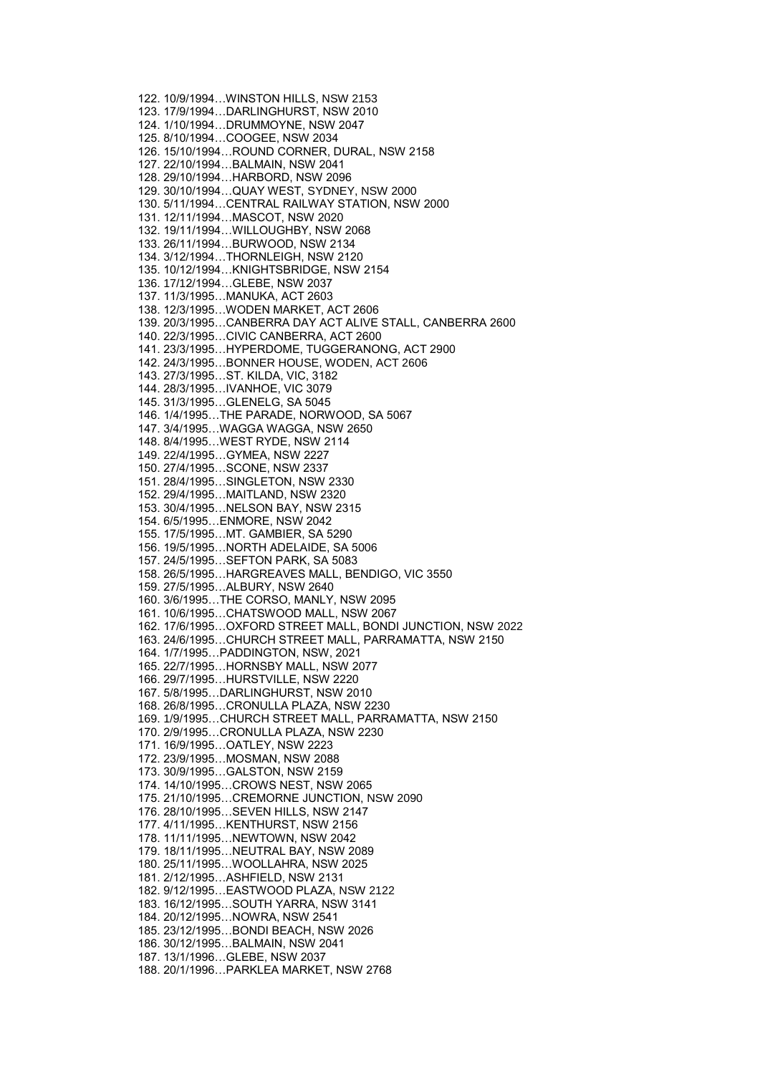122. 10/9/1994…WINSTON HILLS, NSW 2153 123. 17/9/1994…DARLINGHURST, NSW 2010 124. 1/10/1994…DRUMMOYNE, NSW 2047 125. 8/10/1994…COOGEE, NSW 2034 126. 15/10/1994…ROUND CORNER, DURAL, NSW 2158 127. 22/10/1994…BALMAIN, NSW 2041 128. 29/10/1994…HARBORD, NSW 2096 129. 30/10/1994…QUAY WEST, SYDNEY, NSW 2000 130. 5/11/1994…CENTRAL RAILWAY STATION, NSW 2000 131. 12/11/1994…MASCOT, NSW 2020 132. 19/11/1994…WILLOUGHBY, NSW 2068 133. 26/11/1994…BURWOOD, NSW 2134 134. 3/12/1994…THORNLEIGH, NSW 2120 135. 10/12/1994…KNIGHTSBRIDGE, NSW 2154 136. 17/12/1994…GLEBE, NSW 2037 137. 11/3/1995…MANUKA, ACT 2603 138. 12/3/1995…WODEN MARKET, ACT 2606 139. 20/3/1995…CANBERRA DAY ACT ALIVE STALL, CANBERRA 2600 140. 22/3/1995…CIVIC CANBERRA, ACT 2600 141. 23/3/1995…HYPERDOME, TUGGERANONG, ACT 2900 142. 24/3/1995…BONNER HOUSE, WODEN, ACT 2606 143. 27/3/1995…ST. KILDA, VIC, 3182 144. 28/3/1995…IVANHOE, VIC 3079 145. 31/3/1995…GLENELG, SA 5045 146. 1/4/1995…THE PARADE, NORWOOD, SA 5067 147. 3/4/1995…WAGGA WAGGA, NSW 2650 148. 8/4/1995…WEST RYDE, NSW 2114 149. 22/4/1995…GYMEA, NSW 2227 150. 27/4/1995…SCONE, NSW 2337 151. 28/4/1995…SINGLETON, NSW 2330 152. 29/4/1995…MAITLAND, NSW 2320 153. 30/4/1995…NELSON BAY, NSW 2315 154. 6/5/1995…ENMORE, NSW 2042 155. 17/5/1995…MT. GAMBIER, SA 5290 156. 19/5/1995…NORTH ADELAIDE, SA 5006 157. 24/5/1995…SEFTON PARK, SA 5083 158. 26/5/1995…HARGREAVES MALL, BENDIGO, VIC 3550 159. 27/5/1995…ALBURY, NSW 2640 160. 3/6/1995…THE CORSO, MANLY, NSW 2095 161. 10/6/1995…CHATSWOOD MALL, NSW 2067 162. 17/6/1995…OXFORD STREET MALL, BONDI JUNCTION, NSW 2022 163. 24/6/1995…CHURCH STREET MALL, PARRAMATTA, NSW 2150 164. 1/7/1995…PADDINGTON, NSW, 2021 165. 22/7/1995…HORNSBY MALL, NSW 2077 166. 29/7/1995…HURSTVILLE, NSW 2220 167. 5/8/1995…DARLINGHURST, NSW 2010 168. 26/8/1995…CRONULLA PLAZA, NSW 2230 169. 1/9/1995…CHURCH STREET MALL, PARRAMATTA, NSW 2150 170. 2/9/1995…CRONULLA PLAZA, NSW 2230 171. 16/9/1995…OATLEY, NSW 2223 172. 23/9/1995…MOSMAN, NSW 2088 173. 30/9/1995…GALSTON, NSW 2159 174. 14/10/1995…CROWS NEST, NSW 2065 175. 21/10/1995…CREMORNE JUNCTION, NSW 2090 176. 28/10/1995…SEVEN HILLS, NSW 2147 177. 4/11/1995…KENTHURST, NSW 2156 178. 11/11/1995…NEWTOWN, NSW 2042 179. 18/11/1995…NEUTRAL BAY, NSW 2089 180. 25/11/1995…WOOLLAHRA, NSW 2025 181. 2/12/1995…ASHFIELD, NSW 2131 182. 9/12/1995…EASTWOOD PLAZA, NSW 2122 183. 16/12/1995…SOUTH YARRA, NSW 3141 184. 20/12/1995…NOWRA, NSW 2541 185. 23/12/1995…BONDI BEACH, NSW 2026 186. 30/12/1995…BALMAIN, NSW 2041 187. 13/1/1996…GLEBE, NSW 2037 188. 20/1/1996…PARKLEA MARKET, NSW 2768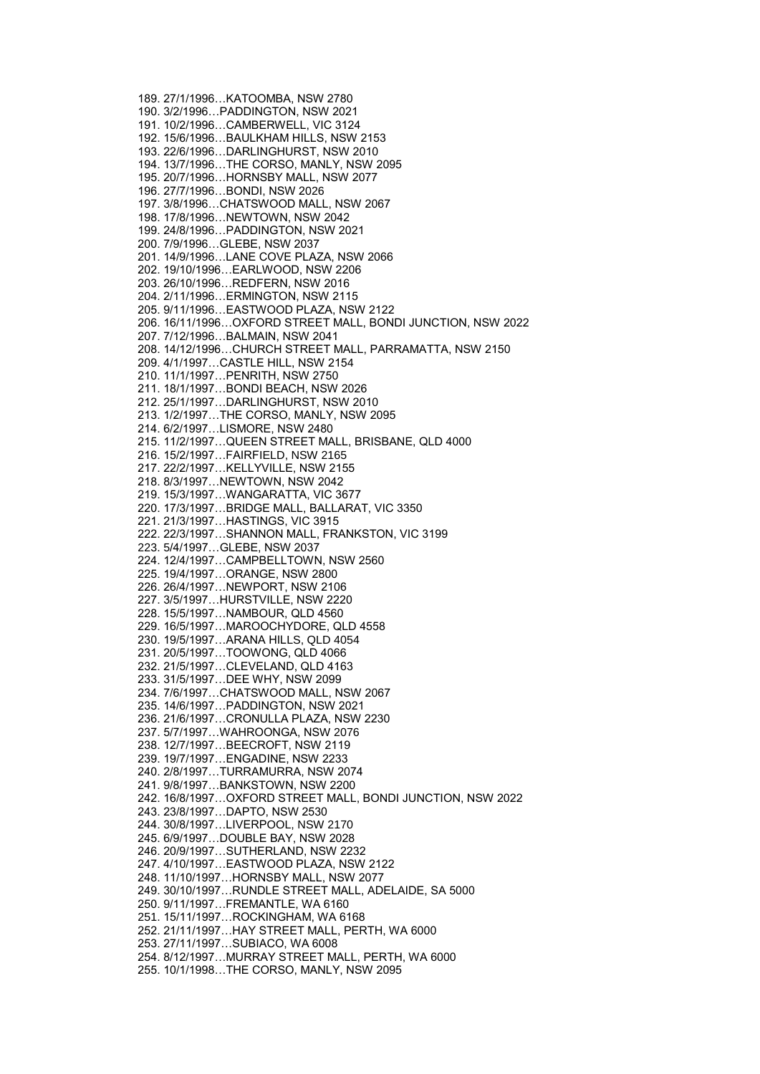189. 27/1/1996…KATOOMBA, NSW 2780 190. 3/2/1996…PADDINGTON, NSW 2021 191. 10/2/1996…CAMBERWELL, VIC 3124 192. 15/6/1996…BAULKHAM HILLS, NSW 2153 193. 22/6/1996…DARLINGHURST, NSW 2010 194. 13/7/1996…THE CORSO, MANLY, NSW 2095 195. 20/7/1996…HORNSBY MALL, NSW 2077 196. 27/7/1996…BONDI, NSW 2026 197. 3/8/1996…CHATSWOOD MALL, NSW 2067 198. 17/8/1996…NEWTOWN, NSW 2042 199. 24/8/1996…PADDINGTON, NSW 2021 200. 7/9/1996…GLEBE, NSW 2037 201. 14/9/1996…LANE COVE PLAZA, NSW 2066 202. 19/10/1996…EARLWOOD, NSW 2206 203. 26/10/1996…REDFERN, NSW 2016 204. 2/11/1996…ERMINGTON, NSW 2115 205. 9/11/1996…EASTWOOD PLAZA, NSW 2122 206. 16/11/1996…OXFORD STREET MALL, BONDI JUNCTION, NSW 2022 207. 7/12/1996…BALMAIN, NSW 2041 208. 14/12/1996…CHURCH STREET MALL, PARRAMATTA, NSW 2150 209. 4/1/1997…CASTLE HILL, NSW 2154 210. 11/1/1997…PENRITH, NSW 2750 211. 18/1/1997…BONDI BEACH, NSW 2026 212. 25/1/1997…DARLINGHURST, NSW 2010 213. 1/2/1997…THE CORSO, MANLY, NSW 2095 214. 6/2/1997…LISMORE, NSW 2480 215. 11/2/1997…QUEEN STREET MALL, BRISBANE, QLD 4000 216. 15/2/1997…FAIRFIELD, NSW 2165 217. 22/2/1997…KELLYVILLE, NSW 2155 218. 8/3/1997…NEWTOWN, NSW 2042 219. 15/3/1997…WANGARATTA, VIC 3677 220. 17/3/1997…BRIDGE MALL, BALLARAT, VIC 3350 221. 21/3/1997…HASTINGS, VIC 3915 222. 22/3/1997…SHANNON MALL, FRANKSTON, VIC 3199 223. 5/4/1997…GLEBE, NSW 2037 224. 12/4/1997…CAMPBELLTOWN, NSW 2560 225. 19/4/1997…ORANGE, NSW 2800 226. 26/4/1997…NEWPORT, NSW 2106 227. 3/5/1997…HURSTVILLE, NSW 2220 228. 15/5/1997…NAMBOUR, QLD 4560 229. 16/5/1997…MAROOCHYDORE, QLD 4558 230. 19/5/1997…ARANA HILLS, QLD 4054 231. 20/5/1997…TOOWONG, QLD 4066 232. 21/5/1997…CLEVELAND, QLD 4163 233. 31/5/1997…DEE WHY, NSW 2099 234. 7/6/1997…CHATSWOOD MALL, NSW 2067 235. 14/6/1997…PADDINGTON, NSW 2021 236. 21/6/1997…CRONULLA PLAZA, NSW 2230 237. 5/7/1997…WAHROONGA, NSW 2076 238. 12/7/1997…BEECROFT, NSW 2119 239. 19/7/1997…ENGADINE, NSW 2233 240. 2/8/1997…TURRAMURRA, NSW 2074 241. 9/8/1997…BANKSTOWN, NSW 2200 242. 16/8/1997…OXFORD STREET MALL, BONDI JUNCTION, NSW 2022 243. 23/8/1997…DAPTO, NSW 2530 244. 30/8/1997…LIVERPOOL, NSW 2170 245. 6/9/1997…DOUBLE BAY, NSW 2028 246. 20/9/1997…SUTHERLAND, NSW 2232 247. 4/10/1997…EASTWOOD PLAZA, NSW 2122 248. 11/10/1997…HORNSBY MALL, NSW 2077 249. 30/10/1997…RUNDLE STREET MALL, ADELAIDE, SA 5000 250. 9/11/1997…FREMANTLE, WA 6160 251. 15/11/1997…ROCKINGHAM, WA 6168 252. 21/11/1997…HAY STREET MALL, PERTH, WA 6000 253. 27/11/1997…SUBIACO, WA 6008 254. 8/12/1997…MURRAY STREET MALL, PERTH, WA 6000 255. 10/1/1998…THE CORSO, MANLY, NSW 2095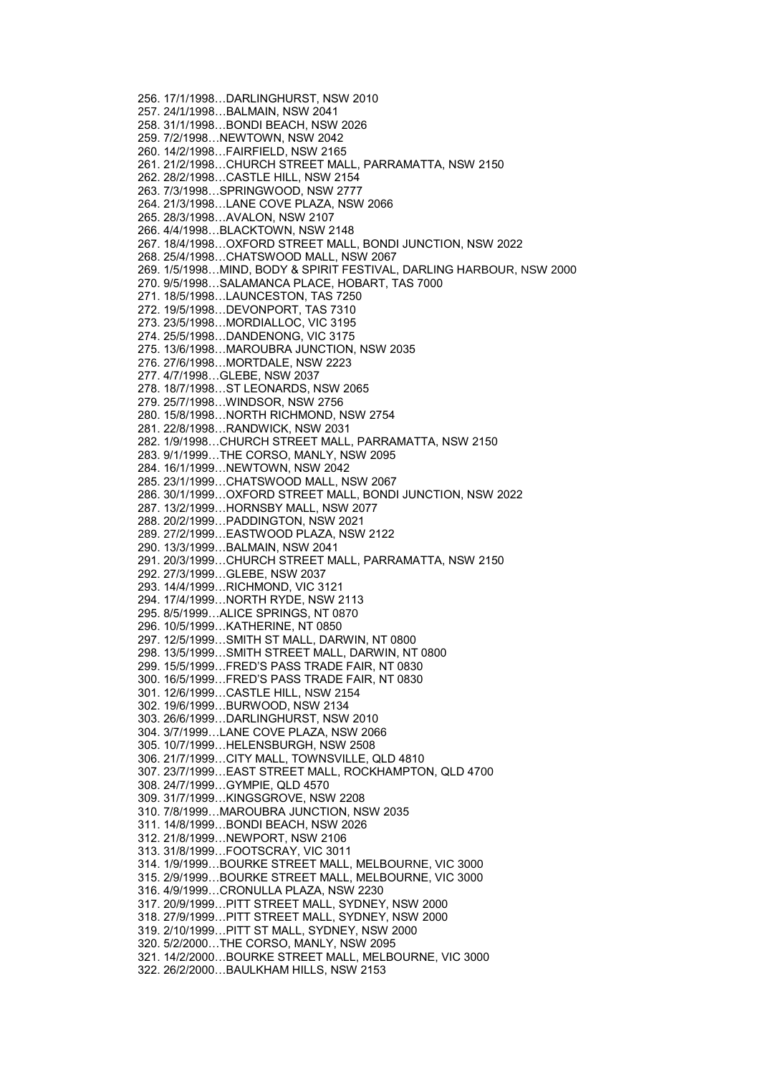256. 17/1/1998…DARLINGHURST, NSW 2010 257. 24/1/1998…BALMAIN, NSW 2041 258. 31/1/1998…BONDI BEACH, NSW 2026 259. 7/2/1998…NEWTOWN, NSW 2042 260. 14/2/1998…FAIRFIELD, NSW 2165 261. 21/2/1998…CHURCH STREET MALL, PARRAMATTA, NSW 2150 262. 28/2/1998…CASTLE HILL, NSW 2154 263. 7/3/1998…SPRINGWOOD, NSW 2777 264. 21/3/1998…LANE COVE PLAZA, NSW 2066 265. 28/3/1998…AVALON, NSW 2107 266. 4/4/1998…BLACKTOWN, NSW 2148 267. 18/4/1998…OXFORD STREET MALL, BONDI JUNCTION, NSW 2022 268. 25/4/1998…CHATSWOOD MALL, NSW 2067 269. 1/5/1998…MIND, BODY & SPIRIT FESTIVAL, DARLING HARBOUR, NSW 2000 270. 9/5/1998…SALAMANCA PLACE, HOBART, TAS 7000 271. 18/5/1998…LAUNCESTON, TAS 7250 272. 19/5/1998…DEVONPORT, TAS 7310 273. 23/5/1998…MORDIALLOC, VIC 3195 274. 25/5/1998…DANDENONG, VIC 3175 275. 13/6/1998…MAROUBRA JUNCTION, NSW 2035 276. 27/6/1998…MORTDALE, NSW 2223 277. 4/7/1998…GLEBE, NSW 2037 278. 18/7/1998…ST LEONARDS, NSW 2065 279. 25/7/1998…WINDSOR, NSW 2756 280. 15/8/1998…NORTH RICHMOND, NSW 2754 281. 22/8/1998…RANDWICK, NSW 2031 282. 1/9/1998…CHURCH STREET MALL, PARRAMATTA, NSW 2150 283. 9/1/1999…THE CORSO, MANLY, NSW 2095 284. 16/1/1999…NEWTOWN, NSW 2042 285. 23/1/1999…CHATSWOOD MALL, NSW 2067 286. 30/1/1999…OXFORD STREET MALL, BONDI JUNCTION, NSW 2022 287. 13/2/1999…HORNSBY MALL, NSW 2077 288. 20/2/1999…PADDINGTON, NSW 2021 289. 27/2/1999…EASTWOOD PLAZA, NSW 2122 290. 13/3/1999…BALMAIN, NSW 2041 291. 20/3/1999…CHURCH STREET MALL, PARRAMATTA, NSW 2150 292. 27/3/1999…GLEBE, NSW 2037 293. 14/4/1999…RICHMOND, VIC 3121 294. 17/4/1999…NORTH RYDE, NSW 2113 295. 8/5/1999…ALICE SPRINGS, NT 0870 296. 10/5/1999…KATHERINE, NT 0850 297. 12/5/1999…SMITH ST MALL, DARWIN, NT 0800 298. 13/5/1999…SMITH STREET MALL, DARWIN, NT 0800 299. 15/5/1999…FRED'S PASS TRADE FAIR, NT 0830 300. 16/5/1999…FRED'S PASS TRADE FAIR, NT 0830 301. 12/6/1999…CASTLE HILL, NSW 2154 302. 19/6/1999…BURWOOD, NSW 2134 303. 26/6/1999…DARLINGHURST, NSW 2010 304. 3/7/1999…LANE COVE PLAZA, NSW 2066 305. 10/7/1999…HELENSBURGH, NSW 2508 306. 21/7/1999…CITY MALL, TOWNSVILLE, QLD 4810 307. 23/7/1999…EAST STREET MALL, ROCKHAMPTON, QLD 4700 308. 24/7/1999…GYMPIE, QLD 4570 309. 31/7/1999…KINGSGROVE, NSW 2208 310. 7/8/1999…MAROUBRA JUNCTION, NSW 2035 311. 14/8/1999…BONDI BEACH, NSW 2026 312. 21/8/1999…NEWPORT, NSW 2106 313. 31/8/1999…FOOTSCRAY, VIC 3011 314. 1/9/1999…BOURKE STREET MALL, MELBOURNE, VIC 3000 315. 2/9/1999…BOURKE STREET MALL, MELBOURNE, VIC 3000 316. 4/9/1999…CRONULLA PLAZA, NSW 2230 317. 20/9/1999…PITT STREET MALL, SYDNEY, NSW 2000 318. 27/9/1999…PITT STREET MALL, SYDNEY, NSW 2000 319. 2/10/1999…PITT ST MALL, SYDNEY, NSW 2000 320. 5/2/2000…THE CORSO, MANLY, NSW 2095 321. 14/2/2000…BOURKE STREET MALL, MELBOURNE, VIC 3000 322. 26/2/2000…BAULKHAM HILLS, NSW 2153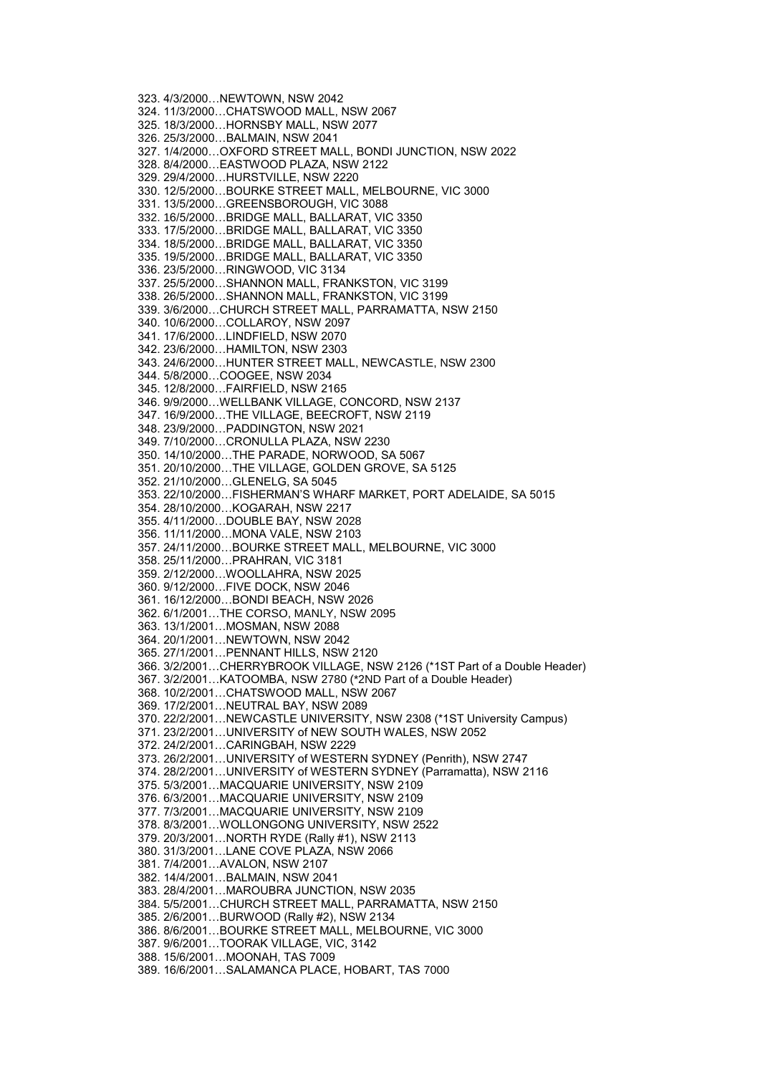323. 4/3/2000…NEWTOWN, NSW 2042 324. 11/3/2000…CHATSWOOD MALL, NSW 2067 325. 18/3/2000…HORNSBY MALL, NSW 2077 326. 25/3/2000…BALMAIN, NSW 2041 327. 1/4/2000…OXFORD STREET MALL, BONDI JUNCTION, NSW 2022 328. 8/4/2000…EASTWOOD PLAZA, NSW 2122 329. 29/4/2000…HURSTVILLE, NSW 2220 330. 12/5/2000…BOURKE STREET MALL, MELBOURNE, VIC 3000 331. 13/5/2000…GREENSBOROUGH, VIC 3088 332. 16/5/2000…BRIDGE MALL, BALLARAT, VIC 3350 333. 17/5/2000…BRIDGE MALL, BALLARAT, VIC 3350 334. 18/5/2000…BRIDGE MALL, BALLARAT, VIC 3350 335. 19/5/2000…BRIDGE MALL, BALLARAT, VIC 3350 336. 23/5/2000…RINGWOOD, VIC 3134 337. 25/5/2000…SHANNON MALL, FRANKSTON, VIC 3199 338. 26/5/2000…SHANNON MALL, FRANKSTON, VIC 3199 339. 3/6/2000…CHURCH STREET MALL, PARRAMATTA, NSW 2150 340. 10/6/2000…COLLAROY, NSW 2097 341. 17/6/2000…LINDFIELD, NSW 2070 342. 23/6/2000…HAMILTON, NSW 2303 343. 24/6/2000…HUNTER STREET MALL, NEWCASTLE, NSW 2300 344. 5/8/2000…COOGEE, NSW 2034 345. 12/8/2000…FAIRFIELD, NSW 2165 346. 9/9/2000…WELLBANK VILLAGE, CONCORD, NSW 2137 347. 16/9/2000…THE VILLAGE, BEECROFT, NSW 2119 348. 23/9/2000…PADDINGTON, NSW 2021 349. 7/10/2000…CRONULLA PLAZA, NSW 2230 350. 14/10/2000…THE PARADE, NORWOOD, SA 5067 351. 20/10/2000…THE VILLAGE, GOLDEN GROVE, SA 5125 352. 21/10/2000…GLENELG, SA 5045 353. 22/10/2000…FISHERMAN'S WHARF MARKET, PORT ADELAIDE, SA 5015 354. 28/10/2000…KOGARAH, NSW 2217 355. 4/11/2000…DOUBLE BAY, NSW 2028 356. 11/11/2000…MONA VALE, NSW 2103 357. 24/11/2000…BOURKE STREET MALL, MELBOURNE, VIC 3000 358. 25/11/2000…PRAHRAN, VIC 3181 359. 2/12/2000…WOOLLAHRA, NSW 2025 360. 9/12/2000…FIVE DOCK, NSW 2046 361. 16/12/2000…BONDI BEACH, NSW 2026 362. 6/1/2001…THE CORSO, MANLY, NSW 2095 363. 13/1/2001…MOSMAN, NSW 2088 364. 20/1/2001…NEWTOWN, NSW 2042 365. 27/1/2001…PENNANT HILLS, NSW 2120 366. 3/2/2001…CHERRYBROOK VILLAGE, NSW 2126 (\*1ST Part of a Double Header) 367. 3/2/2001…KATOOMBA, NSW 2780 (\*2ND Part of a Double Header) 368. 10/2/2001…CHATSWOOD MALL, NSW 2067 369. 17/2/2001…NEUTRAL BAY, NSW 2089 370. 22/2/2001…NEWCASTLE UNIVERSITY, NSW 2308 (\*1ST University Campus) 371. 23/2/2001…UNIVERSITY of NEW SOUTH WALES, NSW 2052 372. 24/2/2001…CARINGBAH, NSW 2229 373. 26/2/2001…UNIVERSITY of WESTERN SYDNEY (Penrith), NSW 2747 374. 28/2/2001…UNIVERSITY of WESTERN SYDNEY (Parramatta), NSW 2116 375. 5/3/2001…MACQUARIE UNIVERSITY, NSW 2109 376. 6/3/2001…MACQUARIE UNIVERSITY, NSW 2109 377. 7/3/2001…MACQUARIE UNIVERSITY, NSW 2109 378. 8/3/2001…WOLLONGONG UNIVERSITY, NSW 2522 379. 20/3/2001…NORTH RYDE (Rally #1), NSW 2113 380. 31/3/2001…LANE COVE PLAZA, NSW 2066 381. 7/4/2001…AVALON, NSW 2107 382. 14/4/2001…BALMAIN, NSW 2041 383. 28/4/2001…MAROUBRA JUNCTION, NSW 2035 384. 5/5/2001…CHURCH STREET MALL, PARRAMATTA, NSW 2150 385. 2/6/2001…BURWOOD (Rally #2), NSW 2134 386. 8/6/2001…BOURKE STREET MALL, MELBOURNE, VIC 3000 387. 9/6/2001…TOORAK VILLAGE, VIC, 3142 388. 15/6/2001…MOONAH, TAS 7009 389. 16/6/2001…SALAMANCA PLACE, HOBART, TAS 7000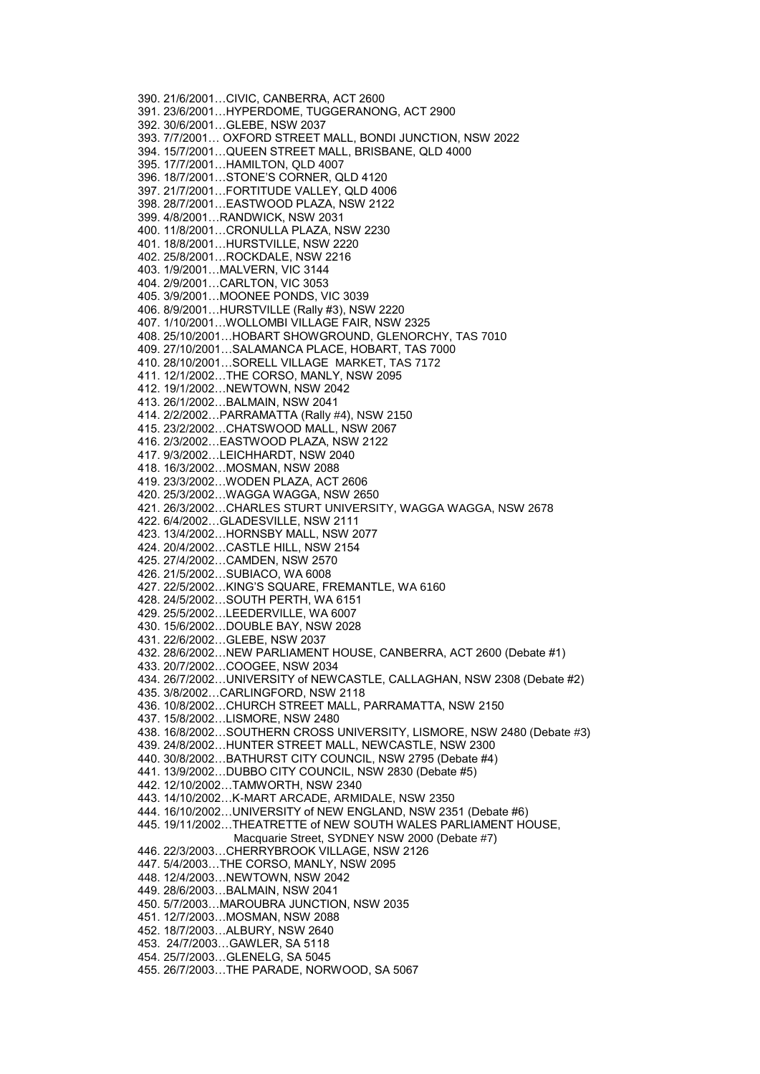390. 21/6/2001…CIVIC, CANBERRA, ACT 2600 391. 23/6/2001…HYPERDOME, TUGGERANONG, ACT 2900 392. 30/6/2001…GLEBE, NSW 2037 393. 7/7/2001… OXFORD STREET MALL, BONDI JUNCTION, NSW 2022 394. 15/7/2001…QUEEN STREET MALL, BRISBANE, QLD 4000 395. 17/7/2001…HAMILTON, QLD 4007 396. 18/7/2001…STONE'S CORNER, QLD 4120 397. 21/7/2001…FORTITUDE VALLEY, QLD 4006 398. 28/7/2001…EASTWOOD PLAZA, NSW 2122 399. 4/8/2001…RANDWICK, NSW 2031 400. 11/8/2001…CRONULLA PLAZA, NSW 2230 401. 18/8/2001…HURSTVILLE, NSW 2220 402. 25/8/2001…ROCKDALE, NSW 2216 403. 1/9/2001…MALVERN, VIC 3144 404. 2/9/2001…CARLTON, VIC 3053 405. 3/9/2001…MOONEE PONDS, VIC 3039 406. 8/9/2001…HURSTVILLE (Rally #3), NSW 2220 407. 1/10/2001…WOLLOMBI VILLAGE FAIR, NSW 2325 408. 25/10/2001…HOBART SHOWGROUND, GLENORCHY, TAS 7010 409. 27/10/2001…SALAMANCA PLACE, HOBART, TAS 7000 410. 28/10/2001…SORELL VILLAGE MARKET, TAS 7172 411. 12/1/2002…THE CORSO, MANLY, NSW 2095 412. 19/1/2002…NEWTOWN, NSW 2042 413. 26/1/2002…BALMAIN, NSW 2041 414. 2/2/2002…PARRAMATTA (Rally #4), NSW 2150 415. 23/2/2002…CHATSWOOD MALL, NSW 2067 416. 2/3/2002…EASTWOOD PLAZA, NSW 2122 417. 9/3/2002…LEICHHARDT, NSW 2040 418. 16/3/2002…MOSMAN, NSW 2088 419. 23/3/2002…WODEN PLAZA, ACT 2606 420. 25/3/2002…WAGGA WAGGA, NSW 2650 421. 26/3/2002…CHARLES STURT UNIVERSITY, WAGGA WAGGA, NSW 2678 422. 6/4/2002…GLADESVILLE, NSW 2111 423. 13/4/2002…HORNSBY MALL, NSW 2077 424. 20/4/2002…CASTLE HILL, NSW 2154 425. 27/4/2002…CAMDEN, NSW 2570 426. 21/5/2002…SUBIACO, WA 6008 427. 22/5/2002…KING'S SQUARE, FREMANTLE, WA 6160 428. 24/5/2002…SOUTH PERTH, WA 6151 429. 25/5/2002…LEEDERVILLE, WA 6007 430. 15/6/2002…DOUBLE BAY, NSW 2028 431. 22/6/2002…GLEBE, NSW 2037 432. 28/6/2002…NEW PARLIAMENT HOUSE, CANBERRA, ACT 2600 (Debate #1) 433. 20/7/2002…COOGEE, NSW 2034 434. 26/7/2002…UNIVERSITY of NEWCASTLE, CALLAGHAN, NSW 2308 (Debate #2) 435. 3/8/2002…CARLINGFORD, NSW 2118 436. 10/8/2002…CHURCH STREET MALL, PARRAMATTA, NSW 2150 437. 15/8/2002…LISMORE, NSW 2480 438. 16/8/2002…SOUTHERN CROSS UNIVERSITY, LISMORE, NSW 2480 (Debate #3) 439. 24/8/2002…HUNTER STREET MALL, NEWCASTLE, NSW 2300 440. 30/8/2002…BATHURST CITY COUNCIL, NSW 2795 (Debate #4) 441. 13/9/2002…DUBBO CITY COUNCIL, NSW 2830 (Debate #5) 442. 12/10/2002…TAMWORTH, NSW 2340 443. 14/10/2002…K-MART ARCADE, ARMIDALE, NSW 2350 444. 16/10/2002…UNIVERSITY of NEW ENGLAND, NSW 2351 (Debate #6) 445. 19/11/2002…THEATRETTE of NEW SOUTH WALES PARLIAMENT HOUSE, Macquarie Street, SYDNEY NSW 2000 (Debate #7) 446. 22/3/2003…CHERRYBROOK VILLAGE, NSW 2126 447. 5/4/2003…THE CORSO, MANLY, NSW 2095 448. 12/4/2003…NEWTOWN, NSW 2042 449. 28/6/2003…BALMAIN, NSW 2041 450. 5/7/2003…MAROUBRA JUNCTION, NSW 2035 451. 12/7/2003…MOSMAN, NSW 2088 452. 18/7/2003…ALBURY, NSW 2640 453. 24/7/2003…GAWLER, SA 5118 454. 25/7/2003…GLENELG, SA 5045 455. 26/7/2003…THE PARADE, NORWOOD, SA 5067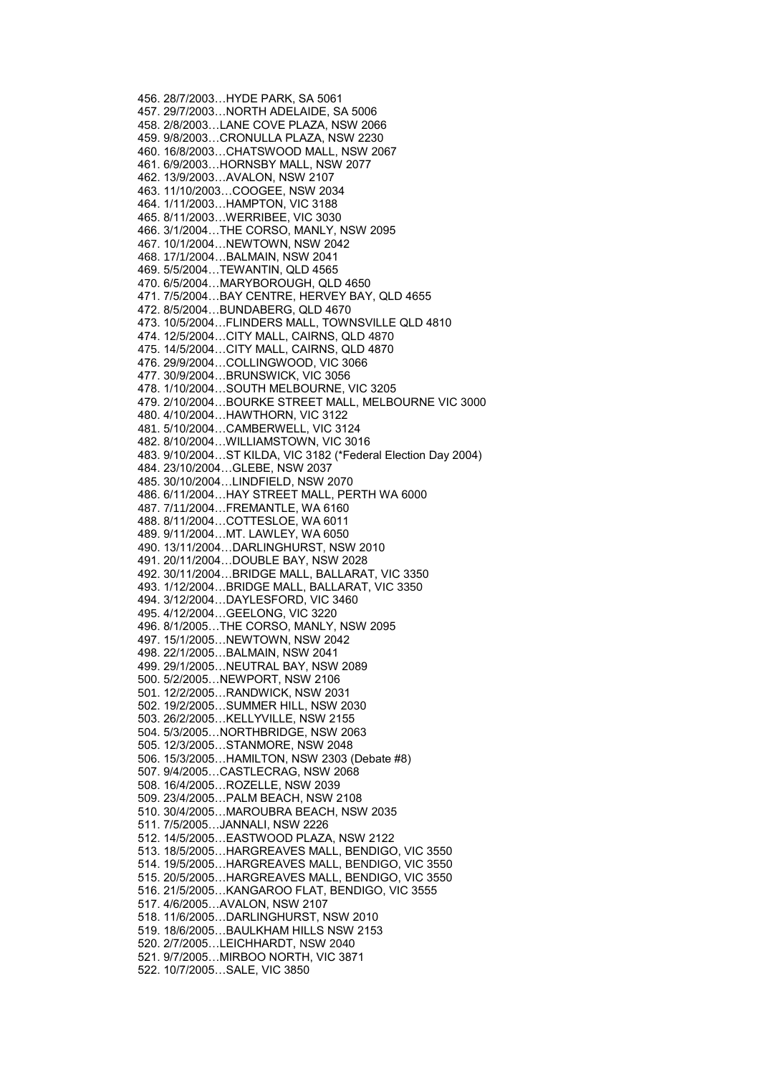456. 28/7/2003…HYDE PARK, SA 5061 457. 29/7/2003…NORTH ADELAIDE, SA 5006 458. 2/8/2003…LANE COVE PLAZA, NSW 2066 459. 9/8/2003…CRONULLA PLAZA, NSW 2230 460. 16/8/2003…CHATSWOOD MALL, NSW 2067 461. 6/9/2003…HORNSBY MALL, NSW 2077 462. 13/9/2003…AVALON, NSW 2107 463. 11/10/2003…COOGEE, NSW 2034 464. 1/11/2003…HAMPTON, VIC 3188 465. 8/11/2003…WERRIBEE, VIC 3030 466. 3/1/2004…THE CORSO, MANLY, NSW 2095 467. 10/1/2004…NEWTOWN, NSW 2042 468. 17/1/2004…BALMAIN, NSW 2041 469. 5/5/2004…TEWANTIN, QLD 4565 470. 6/5/2004…MARYBOROUGH, QLD 4650 471. 7/5/2004…BAY CENTRE, HERVEY BAY, QLD 4655 472. 8/5/2004…BUNDABERG, QLD 4670 473. 10/5/2004…FLINDERS MALL, TOWNSVILLE QLD 4810 474. 12/5/2004…CITY MALL, CAIRNS, QLD 4870 475. 14/5/2004…CITY MALL, CAIRNS, QLD 4870 476. 29/9/2004…COLLINGWOOD, VIC 3066 477. 30/9/2004…BRUNSWICK, VIC 3056 478. 1/10/2004…SOUTH MELBOURNE, VIC 3205 479. 2/10/2004…BOURKE STREET MALL, MELBOURNE VIC 3000 480. 4/10/2004…HAWTHORN, VIC 3122 481. 5/10/2004…CAMBERWELL, VIC 3124 482. 8/10/2004…WILLIAMSTOWN, VIC 3016 483. 9/10/2004…ST KILDA, VIC 3182 (\*Federal Election Day 2004) 484. 23/10/2004…GLEBE, NSW 2037 485. 30/10/2004…LINDFIELD, NSW 2070 486. 6/11/2004…HAY STREET MALL, PERTH WA 6000 487. 7/11/2004…FREMANTLE, WA 6160 488. 8/11/2004…COTTESLOE, WA 6011 489. 9/11/2004…MT. LAWLEY, WA 6050 490. 13/11/2004…DARLINGHURST, NSW 2010 491. 20/11/2004…DOUBLE BAY, NSW 2028 492. 30/11/2004…BRIDGE MALL, BALLARAT, VIC 3350 493. 1/12/2004…BRIDGE MALL, BALLARAT, VIC 3350 494. 3/12/2004…DAYLESFORD, VIC 3460 495. 4/12/2004…GEELONG, VIC 3220 496. 8/1/2005…THE CORSO, MANLY, NSW 2095 497. 15/1/2005…NEWTOWN, NSW 2042 498. 22/1/2005…BALMAIN, NSW 2041 499. 29/1/2005…NEUTRAL BAY, NSW 2089 500. 5/2/2005…NEWPORT, NSW 2106 501. 12/2/2005…RANDWICK, NSW 2031 502. 19/2/2005…SUMMER HILL, NSW 2030 503. 26/2/2005…KELLYVILLE, NSW 2155 504. 5/3/2005…NORTHBRIDGE, NSW 2063 505. 12/3/2005…STANMORE, NSW 2048 506. 15/3/2005…HAMILTON, NSW 2303 (Debate #8) 507. 9/4/2005…CASTLECRAG, NSW 2068 508. 16/4/2005…ROZELLE, NSW 2039 509. 23/4/2005…PALM BEACH, NSW 2108 510. 30/4/2005…MAROUBRA BEACH, NSW 2035 511. 7/5/2005…JANNALI, NSW 2226 512. 14/5/2005…EASTWOOD PLAZA, NSW 2122 513. 18/5/2005…HARGREAVES MALL, BENDIGO, VIC 3550 514. 19/5/2005…HARGREAVES MALL, BENDIGO, VIC 3550 515. 20/5/2005…HARGREAVES MALL, BENDIGO, VIC 3550 516. 21/5/2005…KANGAROO FLAT, BENDIGO, VIC 3555 517. 4/6/2005…AVALON, NSW 2107 518. 11/6/2005…DARLINGHURST, NSW 2010 519. 18/6/2005…BAULKHAM HILLS NSW 2153 520. 2/7/2005…LEICHHARDT, NSW 2040 521. 9/7/2005…MIRBOO NORTH, VIC 3871 522. 10/7/2005…SALE, VIC 3850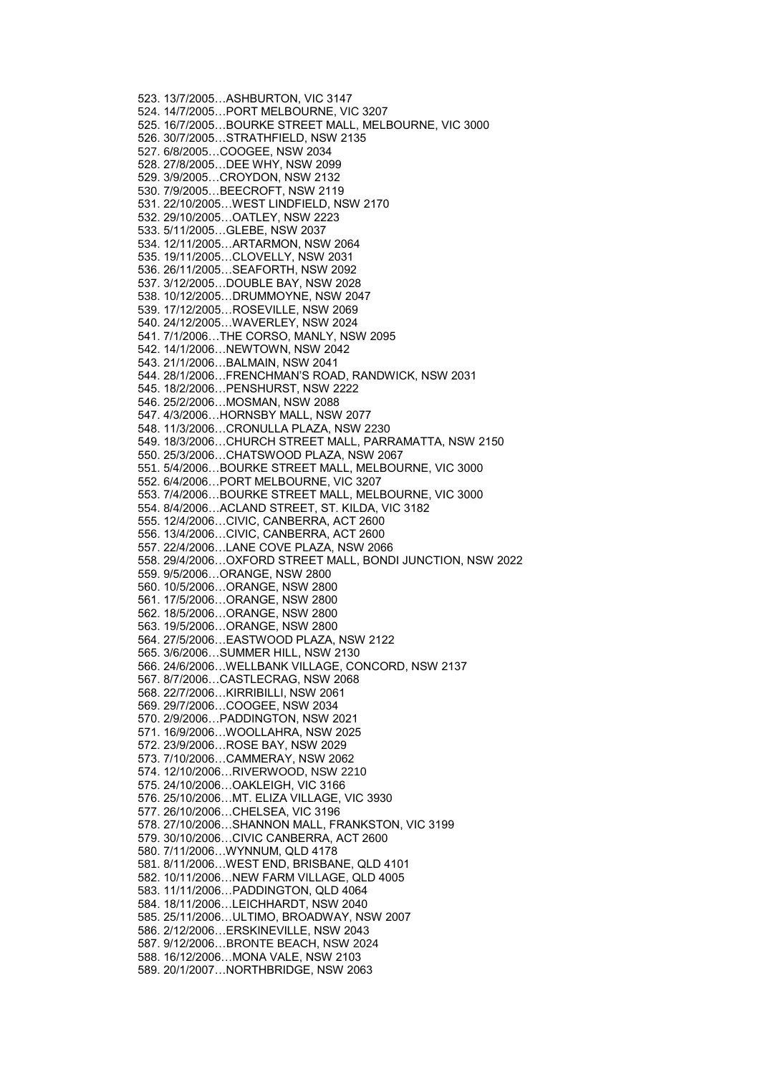523. 13/7/2005…ASHBURTON, VIC 3147 524. 14/7/2005…PORT MELBOURNE, VIC 3207 525. 16/7/2005…BOURKE STREET MALL, MELBOURNE, VIC 3000 526. 30/7/2005…STRATHFIELD, NSW 2135 527. 6/8/2005…COOGEE, NSW 2034 528. 27/8/2005…DEE WHY, NSW 2099 529. 3/9/2005…CROYDON, NSW 2132 530. 7/9/2005…BEECROFT, NSW 2119 531. 22/10/2005…WEST LINDFIELD, NSW 2170 532. 29/10/2005…OATLEY, NSW 2223 533. 5/11/2005…GLEBE, NSW 2037 534. 12/11/2005…ARTARMON, NSW 2064 535. 19/11/2005…CLOVELLY, NSW 2031 536. 26/11/2005…SEAFORTH, NSW 2092 537. 3/12/2005…DOUBLE BAY, NSW 2028 538. 10/12/2005…DRUMMOYNE, NSW 2047 539. 17/12/2005…ROSEVILLE, NSW 2069 540. 24/12/2005…WAVERLEY, NSW 2024 541. 7/1/2006…THE CORSO, MANLY, NSW 2095 542. 14/1/2006…NEWTOWN, NSW 2042 543. 21/1/2006…BALMAIN, NSW 2041 544. 28/1/2006…FRENCHMAN'S ROAD, RANDWICK, NSW 2031 545. 18/2/2006…PENSHURST, NSW 2222 546. 25/2/2006…MOSMAN, NSW 2088 547. 4/3/2006…HORNSBY MALL, NSW 2077 548. 11/3/2006…CRONULLA PLAZA, NSW 2230 549. 18/3/2006…CHURCH STREET MALL, PARRAMATTA, NSW 2150 550. 25/3/2006…CHATSWOOD PLAZA, NSW 2067 551. 5/4/2006…BOURKE STREET MALL, MELBOURNE, VIC 3000 552. 6/4/2006…PORT MELBOURNE, VIC 3207 553. 7/4/2006…BOURKE STREET MALL, MELBOURNE, VIC 3000 554. 8/4/2006…ACLAND STREET, ST. KILDA, VIC 3182 555. 12/4/2006…CIVIC, CANBERRA, ACT 2600 556. 13/4/2006…CIVIC, CANBERRA, ACT 2600 557. 22/4/2006…LANE COVE PLAZA, NSW 2066 558. 29/4/2006…OXFORD STREET MALL, BONDI JUNCTION, NSW 2022 559. 9/5/2006…ORANGE, NSW 2800 560. 10/5/2006…ORANGE, NSW 2800 561. 17/5/2006…ORANGE, NSW 2800 562. 18/5/2006…ORANGE, NSW 2800 563. 19/5/2006…ORANGE, NSW 2800 564. 27/5/2006…EASTWOOD PLAZA, NSW 2122 565. 3/6/2006…SUMMER HILL, NSW 2130 566. 24/6/2006…WELLBANK VILLAGE, CONCORD, NSW 2137 567. 8/7/2006…CASTLECRAG, NSW 2068 568. 22/7/2006…KIRRIBILLI, NSW 2061 569. 29/7/2006…COOGEE, NSW 2034 570. 2/9/2006…PADDINGTON, NSW 2021 571. 16/9/2006…WOOLLAHRA, NSW 2025 572. 23/9/2006…ROSE BAY, NSW 2029 573. 7/10/2006…CAMMERAY, NSW 2062 574. 12/10/2006…RIVERWOOD, NSW 2210 575. 24/10/2006…OAKLEIGH, VIC 3166 576. 25/10/2006…MT. ELIZA VILLAGE, VIC 3930 577. 26/10/2006…CHELSEA, VIC 3196 578. 27/10/2006…SHANNON MALL, FRANKSTON, VIC 3199 579. 30/10/2006…CIVIC CANBERRA, ACT 2600 580. 7/11/2006…WYNNUM, QLD 4178 581. 8/11/2006…WEST END, BRISBANE, QLD 4101 582. 10/11/2006…NEW FARM VILLAGE, QLD 4005 583. 11/11/2006…PADDINGTON, QLD 4064 584. 18/11/2006…LEICHHARDT, NSW 2040 585. 25/11/2006…ULTIMO, BROADWAY, NSW 2007 586. 2/12/2006…ERSKINEVILLE, NSW 2043 587. 9/12/2006…BRONTE BEACH, NSW 2024 588. 16/12/2006…MONA VALE, NSW 2103 589. 20/1/2007…NORTHBRIDGE, NSW 2063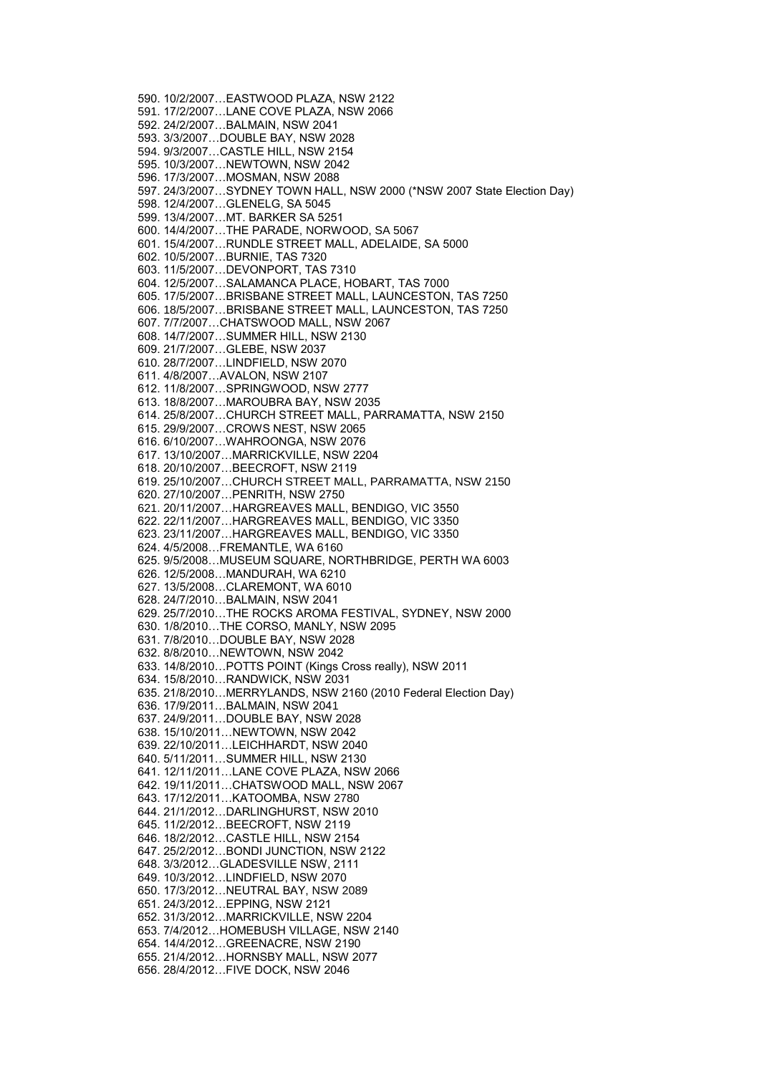590. 10/2/2007…EASTWOOD PLAZA, NSW 2122 591. 17/2/2007…LANE COVE PLAZA, NSW 2066 592. 24/2/2007…BALMAIN, NSW 2041 593. 3/3/2007…DOUBLE BAY, NSW 2028 594. 9/3/2007…CASTLE HILL, NSW 2154 595. 10/3/2007…NEWTOWN, NSW 2042 596. 17/3/2007…MOSMAN, NSW 2088 597. 24/3/2007…SYDNEY TOWN HALL, NSW 2000 (\*NSW 2007 State Election Day) 598. 12/4/2007…GLENELG, SA 5045 599. 13/4/2007…MT. BARKER SA 5251 600. 14/4/2007…THE PARADE, NORWOOD, SA 5067 601. 15/4/2007…RUNDLE STREET MALL, ADELAIDE, SA 5000 602. 10/5/2007…BURNIE, TAS 7320 603. 11/5/2007…DEVONPORT, TAS 7310 604. 12/5/2007…SALAMANCA PLACE, HOBART, TAS 7000 605. 17/5/2007…BRISBANE STREET MALL, LAUNCESTON, TAS 7250 606. 18/5/2007…BRISBANE STREET MALL, LAUNCESTON, TAS 7250 607. 7/7/2007…CHATSWOOD MALL, NSW 2067 608. 14/7/2007…SUMMER HILL, NSW 2130 609. 21/7/2007…GLEBE, NSW 2037 610. 28/7/2007…LINDFIELD, NSW 2070 611. 4/8/2007…AVALON, NSW 2107 612. 11/8/2007…SPRINGWOOD, NSW 2777 613. 18/8/2007…MAROUBRA BAY, NSW 2035 614. 25/8/2007…CHURCH STREET MALL, PARRAMATTA, NSW 2150 615. 29/9/2007…CROWS NEST, NSW 2065 616. 6/10/2007…WAHROONGA, NSW 2076 617. 13/10/2007…MARRICKVILLE, NSW 2204 618. 20/10/2007…BEECROFT, NSW 2119 619. 25/10/2007…CHURCH STREET MALL, PARRAMATTA, NSW 2150 620. 27/10/2007…PENRITH, NSW 2750 621. 20/11/2007…HARGREAVES MALL, BENDIGO, VIC 3550 622. 22/11/2007…HARGREAVES MALL, BENDIGO, VIC 3350 623. 23/11/2007…HARGREAVES MALL, BENDIGO, VIC 3350 624. 4/5/2008…FREMANTLE, WA 6160 625. 9/5/2008…MUSEUM SQUARE, NORTHBRIDGE, PERTH WA 6003 626. 12/5/2008…MANDURAH, WA 6210 627. 13/5/2008…CLAREMONT, WA 6010 628. 24/7/2010…BALMAIN, NSW 2041 629. 25/7/2010…THE ROCKS AROMA FESTIVAL, SYDNEY, NSW 2000 630. 1/8/2010…THE CORSO, MANLY, NSW 2095 631. 7/8/2010…DOUBLE BAY, NSW 2028 632. 8/8/2010…NEWTOWN, NSW 2042 633. 14/8/2010…POTTS POINT (Kings Cross really), NSW 2011 634. 15/8/2010…RANDWICK, NSW 2031 635. 21/8/2010…MERRYLANDS, NSW 2160 (2010 Federal Election Day) 636. 17/9/2011…BALMAIN, NSW 2041 637. 24/9/2011…DOUBLE BAY, NSW 2028 638. 15/10/2011…NEWTOWN, NSW 2042 639. 22/10/2011…LEICHHARDT, NSW 2040 640. 5/11/2011…SUMMER HILL, NSW 2130 641. 12/11/2011…LANE COVE PLAZA, NSW 2066 642. 19/11/2011…CHATSWOOD MALL, NSW 2067 643. 17/12/2011…KATOOMBA, NSW 2780 644. 21/1/2012…DARLINGHURST, NSW 2010 645. 11/2/2012…BEECROFT, NSW 2119 646. 18/2/2012…CASTLE HILL, NSW 2154 647. 25/2/2012…BONDI JUNCTION, NSW 2122 648. 3/3/2012…GLADESVILLE NSW, 2111 649. 10/3/2012…LINDFIELD, NSW 2070 650. 17/3/2012…NEUTRAL BAY, NSW 2089 651. 24/3/2012…EPPING, NSW 2121 652. 31/3/2012…MARRICKVILLE, NSW 2204 653. 7/4/2012…HOMEBUSH VILLAGE, NSW 2140 654. 14/4/2012…GREENACRE, NSW 2190 655. 21/4/2012…HORNSBY MALL, NSW 2077 656. 28/4/2012…FIVE DOCK, NSW 2046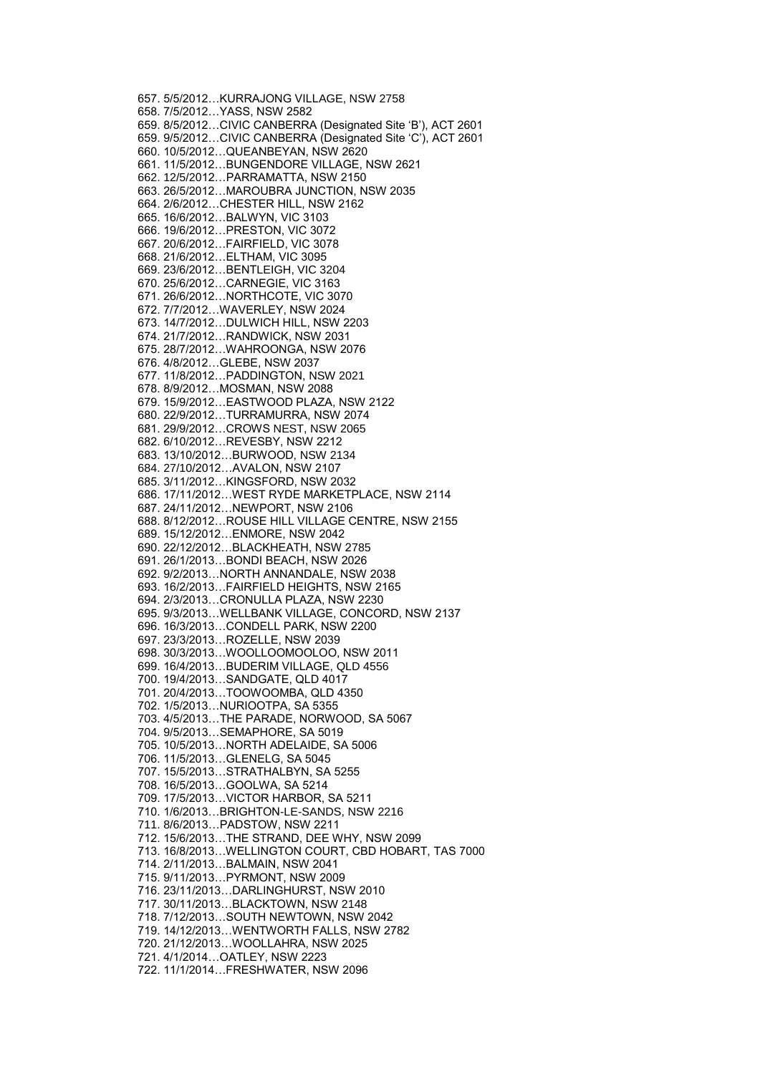657. 5/5/2012…KURRAJONG VILLAGE, NSW 2758 658. 7/5/2012…YASS, NSW 2582 659. 8/5/2012…CIVIC CANBERRA (Designated Site 'B'), ACT 2601 659. 9/5/2012…CIVIC CANBERRA (Designated Site 'C'), ACT 2601 660. 10/5/2012…QUEANBEYAN, NSW 2620 661. 11/5/2012…BUNGENDORE VILLAGE, NSW 2621 662. 12/5/2012…PARRAMATTA, NSW 2150 663. 26/5/2012…MAROUBRA JUNCTION, NSW 2035 664. 2/6/2012…CHESTER HILL, NSW 2162 665. 16/6/2012…BALWYN, VIC 3103 666. 19/6/2012…PRESTON, VIC 3072 667. 20/6/2012…FAIRFIELD, VIC 3078 668. 21/6/2012…ELTHAM, VIC 3095 669. 23/6/2012…BENTLEIGH, VIC 3204 670. 25/6/2012…CARNEGIE, VIC 3163 671. 26/6/2012…NORTHCOTE, VIC 3070 672. 7/7/2012…WAVERLEY, NSW 2024 673. 14/7/2012…DULWICH HILL, NSW 2203 674. 21/7/2012…RANDWICK, NSW 2031 675. 28/7/2012…WAHROONGA, NSW 2076 676. 4/8/2012…GLEBE, NSW 2037 677. 11/8/2012…PADDINGTON, NSW 2021 678. 8/9/2012…MOSMAN, NSW 2088 679. 15/9/2012…EASTWOOD PLAZA, NSW 2122 680. 22/9/2012…TURRAMURRA, NSW 2074 681. 29/9/2012…CROWS NEST, NSW 2065 682. 6/10/2012…REVESBY, NSW 2212 683. 13/10/2012…BURWOOD, NSW 2134 684. 27/10/2012…AVALON, NSW 2107 685. 3/11/2012…KINGSFORD, NSW 2032 686. 17/11/2012…WEST RYDE MARKETPLACE, NSW 2114 687. 24/11/2012…NEWPORT, NSW 2106 688. 8/12/2012…ROUSE HILL VILLAGE CENTRE, NSW 2155 689. 15/12/2012…ENMORE, NSW 2042 690. 22/12/2012…BLACKHEATH, NSW 2785 691. 26/1/2013…BONDI BEACH, NSW 2026 692. 9/2/2013…NORTH ANNANDALE, NSW 2038 693. 16/2/2013…FAIRFIELD HEIGHTS, NSW 2165 694. 2/3/2013…CRONULLA PLAZA, NSW 2230 695. 9/3/2013…WELLBANK VILLAGE, CONCORD, NSW 2137 696. 16/3/2013…CONDELL PARK, NSW 2200 697. 23/3/2013…ROZELLE, NSW 2039 698. 30/3/2013…WOOLLOOMOOLOO, NSW 2011 699. 16/4/2013…BUDERIM VILLAGE, QLD 4556 700. 19/4/2013…SANDGATE, QLD 4017 701. 20/4/2013…TOOWOOMBA, QLD 4350 702. 1/5/2013…NURIOOTPA, SA 5355 703. 4/5/2013…THE PARADE, NORWOOD, SA 5067 704. 9/5/2013…SEMAPHORE, SA 5019 705. 10/5/2013…NORTH ADELAIDE, SA 5006 706. 11/5/2013…GLENELG, SA 5045 707. 15/5/2013…STRATHALBYN, SA 5255 708. 16/5/2013…GOOLWA, SA 5214 709. 17/5/2013…VICTOR HARBOR, SA 5211 710. 1/6/2013…BRIGHTON-LE-SANDS, NSW 2216 711. 8/6/2013…PADSTOW, NSW 2211 712. 15/6/2013…THE STRAND, DEE WHY, NSW 2099 713. 16/8/2013…WELLINGTON COURT, CBD HOBART, TAS 7000 714. 2/11/2013…BALMAIN, NSW 2041 715. 9/11/2013…PYRMONT, NSW 2009 716. 23/11/2013…DARLINGHURST, NSW 2010 717. 30/11/2013…BLACKTOWN, NSW 2148 718. 7/12/2013…SOUTH NEWTOWN, NSW 2042 719. 14/12/2013…WENTWORTH FALLS, NSW 2782 720. 21/12/2013…WOOLLAHRA, NSW 2025 721. 4/1/2014…OATLEY, NSW 2223 722. 11/1/2014…FRESHWATER, NSW 2096